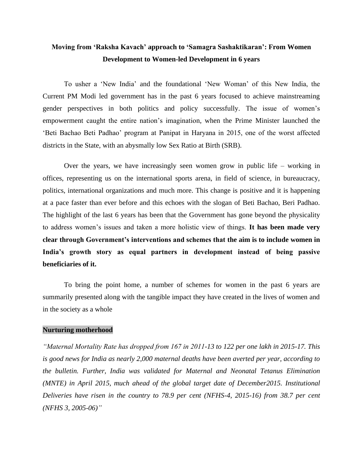# **Moving from 'Raksha Kavach' approach to 'Samagra Sashaktikaran': From Women Development to Women-led Development in 6 years**

To usher a 'New India' and the foundational 'New Woman' of this New India, the Current PM Modi led government has in the past 6 years focused to achieve mainstreaming gender perspectives in both politics and policy successfully. The issue of women's empowerment caught the entire nation's imagination, when the Prime Minister launched the 'Beti Bachao Beti Padhao' program at Panipat in Haryana in 2015, one of the worst affected districts in the State, with an abysmally low Sex Ratio at Birth (SRB).

Over the years, we have increasingly seen women grow in public life – working in offices, representing us on the international sports arena, in field of science, in bureaucracy, politics, international organizations and much more. This change is positive and it is happening at a pace faster than ever before and this echoes with the slogan of Beti Bachao, Beri Padhao. The highlight of the last 6 years has been that the Government has gone beyond the physicality to address women's issues and taken a more holistic view of things. **It has been made very clear through Government's interventions and schemes that the aim is to include women in India's growth story as equal partners in development instead of being passive beneficiaries of it.**

To bring the point home, a number of schemes for women in the past 6 years are summarily presented along with the tangible impact they have created in the lives of women and in the society as a whole

## **Nurturing motherhood**

*"Maternal Mortality Rate has dropped from 167 in 2011-13 to 122 per one lakh in 2015-17. This is good news for India as nearly 2,000 maternal deaths have been averted per year, according to the bulletin. Further, India was validated for Maternal and Neonatal Tetanus Elimination (MNTE) in April 2015, much ahead of the global target date of December2015. Institutional Deliveries have risen in the country to 78.9 per cent (NFHS-4, 2015-16) from 38.7 per cent (NFHS 3, 2005-06)"*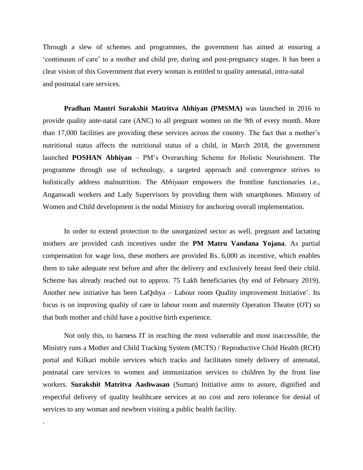Through a slew of schemes and programmes, the government has aimed at ensuring a 'continuum of care' to a mother and child pre, during and post-pregnancy stages. It has been a clear vision of this Government that every woman is entitled to quality antenatal, intra-natal and postnatal care services.

**Pradhan Mantri Surakshit Matritva Abhiyan (PMSMA)** was launched in 2016 to provide quality ante-natal care (ANC) to all pregnant women on the 9th of every month. More than 17,000 facilities are providing these services across the country. The fact that a mother's nutritional status affects the nutritional status of a child, in March 2018, the government launched **POSHAN Abhiyan** – PM's Overarching Scheme for Holistic Nourishment. The programme through use of technology, a targeted approach and convergence strives to holistically address malnutrition. The *Abhiyaan* empowers the frontline functionaries i.e., Anganwadi workers and Lady Supervisors by providing them with smartphones. Ministry of Women and Child development is the nodal Ministry for anchoring overall implementation.

In order to extend protection to the unorganized sector as well, pregnant and lactating mothers are provided cash incentives under the **PM Matru Vandana Yojana**. As partial compensation for wage loss, these mothers are provided Rs. 6,000 as incentive, which enables them to take adequate rest before and after the delivery and exclusively breast feed their child. Scheme has already reached out to approx. 75 Lakh beneficiaries (by end of February 2019). Another new initiative has been LaQshya – Labour room Quality improvement Initiative'. Its focus is on improving quality of care in labour room and maternity Operation Theatre (OT) so that both mother and child have a positive birth experience.

Not only this, to harness IT in reaching the most vulnerable and most inaccessible, the Ministry runs a Mother and Child Tracking System (MCTS) / Reproductive Child Health (RCH) portal and Kilkari mobile services which tracks and facilitates timely delivery of antenatal, postnatal care services to women and immunization services to children by the front line workers. **Surakshit Matritva Aashwasan** (Suman) Initiative aims to assure, dignified and respectful delivery of quality healthcare services at no cost and zero tolerance for denial of services to any woman and newborn visiting a public health facility.

.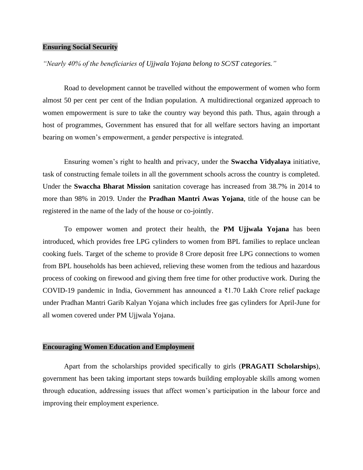### **Ensuring Social Security**

*"Nearly 40% of the beneficiaries of Ujjwala Yojana belong to SC/ST categories."*

Road to development cannot be travelled without the empowerment of women who form almost 50 per cent per cent of the Indian population. A multidirectional organized approach to women empowerment is sure to take the country way beyond this path. Thus, again through a host of programmes, Government has ensured that for all welfare sectors having an important bearing on women's empowerment, a gender perspective is integrated.

Ensuring women's right to health and privacy, under the **Swaccha Vidyalaya** initiative, task of constructing female toilets in all the government schools across the country is completed. Under the **Swaccha Bharat Mission** sanitation coverage has increased from 38.7% in 2014 to more than 98% in 2019. Under the **Pradhan Mantri Awas Yojana**, title of the house can be registered in the name of the lady of the house or co-jointly.

To empower women and protect their health, the **PM Ujjwala Yojana** has been introduced, which provides free LPG cylinders to women from BPL families to replace unclean cooking fuels. Target of the scheme to provide 8 Crore deposit free LPG connections to women from BPL households has been achieved, relieving these women from the tedious and hazardous process of cooking on firewood and giving them free time for other productive work. During the [COVID-19 pandemic in India,](https://en.wikipedia.org/wiki/COVID-19_pandemic_in_India) Government has announced a ₹1.70 Lakh Crore relief package under Pradhan Mantri Garib Kalyan Yojana which includes free gas cylinders for April-June for all women covered under PM Ujjwala Yojana.

# **Encouraging Women Education and Employment**

Apart from the scholarships provided specifically to girls (**PRAGATI Scholarships**), government has been taking important steps towards building employable skills among women through education, addressing issues that affect women's participation in the labour force and improving their employment experience.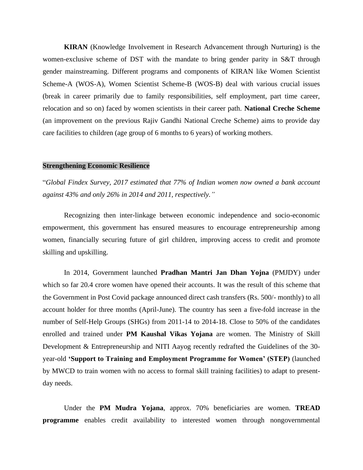**KIRAN** (Knowledge Involvement in Research Advancement through Nurturing) is the women-exclusive scheme of DST with the mandate to bring gender parity in S&T through gender mainstreaming. Different programs and components of KIRAN like Women Scientist Scheme-A (WOS-A), Women Scientist Scheme-B (WOS-B) deal with various crucial issues (break in career primarily due to family responsibilities, self employment, part time career, relocation and so on) faced by women scientists in their career path. **National Creche Scheme** (an improvement on the previous Rajiv Gandhi National Creche Scheme) aims to provide day care facilities to children (age group of 6 months to 6 years) of working mothers.

#### **Strengthening Economic Resilience**

"*Global Findex Survey, 2017 estimated that 77% of Indian women now owned a bank account against 43% and only 26% in 2014 and 2011, respectively."*

Recognizing then inter-linkage between economic independence and socio-economic empowerment, this government has ensured measures to encourage entrepreneurship among women, financially securing future of girl children, improving access to credit and promote skilling and upskilling.

In 2014, Government launched **Pradhan Mantri Jan Dhan Yojna** (PMJDY) under which so far 20.4 crore women have opened their accounts. It was the result of this scheme that the Government in Post Covid package announced direct cash transfers (Rs. 500/- monthly) to all account holder for three months (April-June). The country has seen a five-fold increase in the number of Self-Help Groups (SHGs) from 2011-14 to 2014-18. Close to 50% of the candidates enrolled and trained under **PM Kaushal Vikas Yojana** are women. The Ministry of Skill Development & Entrepreneurship and NITI Aayog recently redrafted the Guidelines of the 30 year-old **'Support to Training and Employment Programme for Women' (STEP)** (launched by MWCD to train women with no access to formal skill training facilities) to adapt to presentday needs.

Under the **PM Mudra Yojana**, approx. 70% beneficiaries are women. **TREAD programme** enables credit availability to interested women through nongovernmental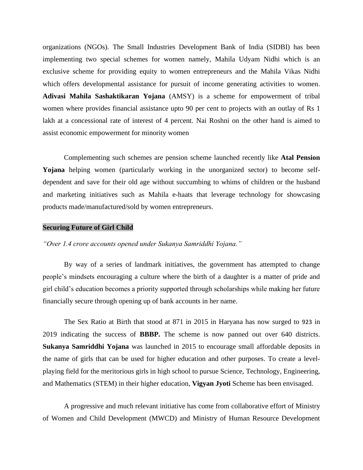organizations (NGOs). The Small Industries Development Bank of India (SIDBI) has been implementing two special schemes for women namely, Mahila Udyam Nidhi which is an exclusive scheme for providing equity to women entrepreneurs and the Mahila Vikas Nidhi which offers developmental assistance for pursuit of income generating activities to women. **Adivasi Mahila Sashaktikaran Yojana** (AMSY) is a scheme for empowerment of tribal women where provides financial assistance upto 90 per cent to projects with an outlay of Rs 1 lakh at a concessional rate of interest of 4 percent. Nai Roshni on the other hand is aimed to assist economic empowerment for minority women

Complementing such schemes are pension scheme launched recently like **Atal Pension Yojana** helping women (particularly working in the unorganized sector) to become selfdependent and save for their old age without succumbing to whims of children or the husband and marketing initiatives such as Mahila e-haats that leverage technology for showcasing products made/manufactured/sold by women entrepreneurs.

#### **Securing Future of Girl Child**

# *"Over 1.4 crore accounts opened under Sukanya Samriddhi Yojana."*

By way of a series of landmark initiatives, the government has attempted to change people's mindsets encouraging a culture where the birth of a daughter is a matter of pride and girl child's education becomes a priority supported through scholarships while making her future financially secure through opening up of bank accounts in her name.

The Sex Ratio at Birth that stood at 871 in 2015 in Haryana has now surged to [923](https://economictimes.indiatimes.com/news/politics-and-nation/sex-ratio-at-birth-in-haryana-rises-to-914-girls-per-1000-boys/articleshow/62488714.cms) in 2019 indicating the success of **BBBP.** The scheme is now panned out over 640 districts. **Sukanya Samriddhi Yojana** was launched in 2015 to encourage small affordable deposits in the name of girls that can be used for higher education and other purposes. To create a levelplaying field for the meritorious girls in high school to pursue Science, Technology, Engineering, and Mathematics (STEM) in their higher education, **Vigyan Jyoti** Scheme has been envisaged.

A progressive and much relevant initiative has come from collaborative effort of Ministry of Women and Child Development (MWCD) and Ministry of Human Resource Development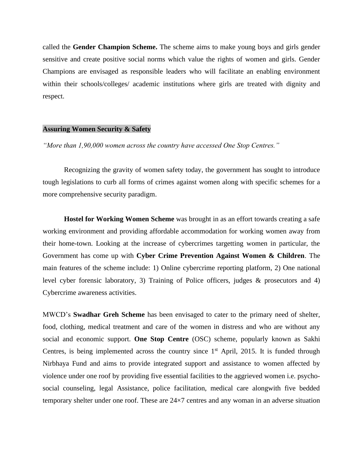called the **Gender Champion Scheme.** The scheme aims to make young boys and girls gender sensitive and create positive social norms which value the rights of women and girls. Gender Champions are envisaged as responsible leaders who will facilitate an enabling environment within their schools/colleges/ academic institutions where girls are treated with dignity and respect.

# **Assuring Women Security & Safety**

*"More than 1,90,000 women across the country have accessed One Stop Centres."*

Recognizing the gravity of women safety today, the government has sought to introduce tough legislations to curb all forms of crimes against women along with specific schemes for a more comprehensive security paradigm.

**Hostel for Working Women Scheme** was brought in as an effort towards creating a safe working environment and providing affordable accommodation for working women away from their home-town. Looking at the increase of cybercrimes targetting women in particular, the Government has come up with **Cyber Crime Prevention Against Women & Children**. The main features of the scheme include: 1) Online cybercrime reporting platform, 2) One national level cyber forensic laboratory, 3) Training of Police officers, judges & prosecutors and 4) Cybercrime awareness activities.

MWCD's **Swadhar Greh Scheme** has been envisaged to cater to the primary need of shelter, food, clothing, medical treatment and care of the women in distress and who are without any social and economic support. **One Stop Centre** (OSC) scheme, popularly known as Sakhi Centres, is being implemented across the country since  $1<sup>st</sup>$  April, 2015. It is funded through Nirbhaya Fund and aims to provide integrated support and assistance to women affected by violence under one roof by providing five essential facilities to the aggrieved women i.e. psychosocial counseling, legal Assistance, police facilitation, medical care alongwith five bedded temporary shelter under one roof. These are 24×7 centres and any woman in an adverse situation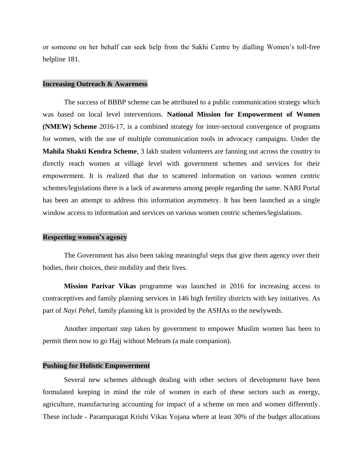or someone on her behalf can seek help from the Sakhi Centre by dialling Women's toll-free helpline 181.

#### **Increasing Outreach & Awareness**

The success of BBBP scheme can be attributed to a public communication strategy which was based on local level interventions. **National Mission for Empowerment of Women (NMEW) Scheme** 2016-17, is a combined strategy for inter-sectoral convergence of programs for women, with the use of multiple communication tools in advocacy campaigns. Under the **Mahila Shakti Kendra Scheme**, 3 lakh student volunteers are fanning out across the country to directly reach women at village level with government schemes and services for their empowerment. It is realized that due to scattered information on various women centric schemes/legislations there is a lack of awareness among people regarding the same. NARI Portal has been an attempt to address this information asymmetry. It has been launched as a single window access to information and services on various women centric schemes/legislations.

#### **Respecting women's agency**

The Government has also been taking meaningful steps that give them agency over their bodies, their choices, their mobility and their lives.

**Mission Parivar Vikas** programme was launched in 2016 for increasing access to contraceptives and family planning services in 146 high fertility districts with key initiatives. As part of *Nayi Pehel*, family planning kit is provided by the ASHAs to the newlyweds.

Another important step taken by government to empower Muslim women has been to permit them now to go Hajj without Mehram (a male companion).

## **Pushing for Holistic Empowerment**

Several new schemes although dealing with other sectors of development have been formulated keeping in mind the role of women in each of these sectors such as energy, agriculture, manufacturing accounting for impact of a scheme on men and women differently. These include - Paramparagat Krishi Vikas Yojana where at least 30% of the budget allocations